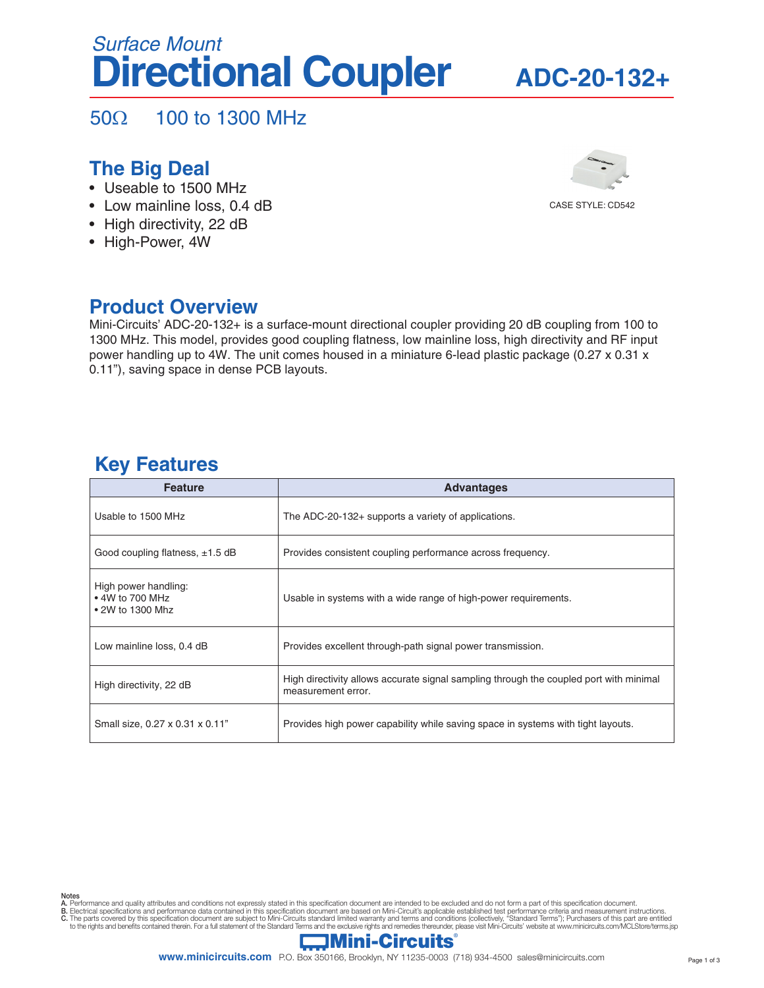# **Directional Coupler** *Surface Mount*

## **ADC-20-132+**

50Ω 100 to 1300 MHz

### **The Big Deal**

- Useable to 1500 MHz
- Low mainline loss, 0.4 dB
- High directivity, 22 dB
- High-Power, 4W



### **Product Overview**

Mini-Circuits' ADC-20-132+ is a surface-mount directional coupler providing 20 dB coupling from 100 to 1300 MHz. This model, provides good coupling flatness, low mainline loss, high directivity and RF input power handling up to 4W. The unit comes housed in a miniature 6-lead plastic package (0.27 x 0.31 x 0.11"), saving space in dense PCB layouts.

### **Key Features**

| <b>Feature</b>                                              | <b>Advantages</b>                                                                                            |
|-------------------------------------------------------------|--------------------------------------------------------------------------------------------------------------|
| Usable to 1500 MHz                                          | The ADC-20-132+ supports a variety of applications.                                                          |
| Good coupling flatness, $\pm 1.5$ dB                        | Provides consistent coupling performance across frequency.                                                   |
| High power handling:<br>• 4W to 700 MHz<br>• 2W to 1300 Mhz | Usable in systems with a wide range of high-power requirements.                                              |
| Low mainline loss, 0.4 dB                                   | Provides excellent through-path signal power transmission.                                                   |
| High directivity, 22 dB                                     | High directivity allows accurate signal sampling through the coupled port with minimal<br>measurement error. |
| Small size, 0.27 x 0.31 x 0.11"                             | Provides high power capability while saving space in systems with tight layouts.                             |

- **Notes**<br>A. Performance and quality attributes and conditions not expressly stated in this specification document are intended to be excluded and do not form a part of this specification document.
- 
- B. Electrical specifications and performance data contained in this specification document are based on Mini-Circuit's applicable established test performance criteria and measurement instructions.<br>C. The parts covered by

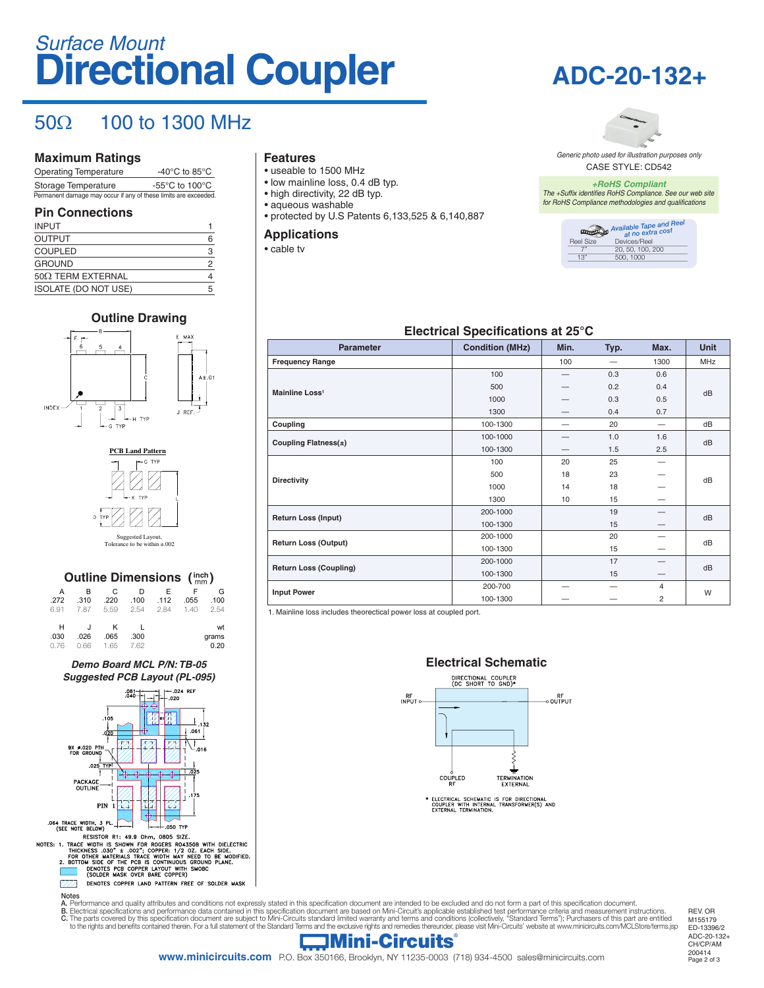# **Directional Coupler** *Surface Mount*

## $50\Omega$  100 to 1300 MHz

#### **Maximum Ratings**

| <b>Operating Temperature</b>                                    | -40 $^{\circ}$ C to 85 $^{\circ}$ C                  |
|-----------------------------------------------------------------|------------------------------------------------------|
| Storage Temperature                                             | -55 $\mathrm{^{\circ}C}$ to 100 $\mathrm{^{\circ}C}$ |
| Permanent damage may occur if any of these limits are exceeded. |                                                      |

#### **Pin Connections**

| <b>INPUT</b>                |   |
|-----------------------------|---|
| <b>OUTPUT</b>               | 6 |
| <b>COUPLED</b>              | 3 |
| <b>GROUND</b>               | 2 |
| $50\Omega$ TERM EXTERNAL    | 4 |
| <b>ISOLATE (DO NOT USE)</b> | 5 |
|                             |   |

#### **Outline Drawing**





#### **Outline Dimensions (inch)** A B C D E F G .272 .310 .220 .100 .112 .055 .100 6.91 7.87 5.59 2.54 2.84 1.40 2.54 H J K L wt .030 .026 .065 .300 grams 0.76 0.66 1.65 7.62 0.20

#### *Demo Board MCL P/N: TB-05 Suggested PCB Layout (PL-095)*



#### **Features**

- useable to 1500 MHz
- low mainline loss, 0.4 dB typ.
- high directivity, 22 dB typ. • aqueous washable
- protected by U.S Patents 6,133,525 & 6,140,887

#### **Applications**

• cable tv





CASE STYLE: CD542 *Generic photo used for illustration purposes only*

*+RoHS Compliant The +Suffix identifies RoHS Compliance. See our web site for RoHS Compliance methodologies and qualifications*



#### **Electrical Specifications at 25°C**

| <b>Parameter</b>              | <b>Condition (MHz)</b> | Min. | Typ. | Max.                     | <b>Unit</b> |  |  |
|-------------------------------|------------------------|------|------|--------------------------|-------------|--|--|
| <b>Frequency Range</b>        |                        | 100  |      | 1300                     | MHz         |  |  |
|                               | 100                    |      | 0.3  | 0.6                      | dB          |  |  |
| Mainline Loss <sup>1</sup>    | 500                    |      | 0.2  | 0.4                      |             |  |  |
|                               | 1000                   |      | 0.3  | 0.5                      |             |  |  |
|                               | 1300                   |      | 0.4  | 0.7                      |             |  |  |
| Coupling                      | 100-1300               |      | 20   | $\overline{\phantom{0}}$ | dB          |  |  |
|                               | 100-1000               |      | 1.0  | 1.6                      | dB          |  |  |
| Coupling Flatness(±)          | 100-1300               |      | 1.5  | 2.5                      |             |  |  |
|                               | 100                    | 20   | 25   | $\overline{\phantom{m}}$ | dB          |  |  |
|                               | 500                    | 18   | 23   |                          |             |  |  |
| <b>Directivity</b>            | 1000                   | 14   | 18   |                          |             |  |  |
|                               | 1300                   | 10   | 15   |                          |             |  |  |
|                               | 200-1000               |      | 19   |                          | dB          |  |  |
| <b>Return Loss (Input)</b>    | 100-1300               |      | 15   |                          |             |  |  |
| <b>Return Loss (Output)</b>   | 200-1000               |      | 20   |                          | dB          |  |  |
|                               | 100-1300               |      | 15   |                          |             |  |  |
| <b>Return Loss (Coupling)</b> | 200-1000               |      | 17   |                          | dB          |  |  |
|                               | 100-1300               |      | 15   |                          |             |  |  |
|                               | 200-700                |      |      | $\overline{4}$           | W           |  |  |
| <b>Input Power</b>            | 100-1300               |      |      | 2                        |             |  |  |

1. Mainline loss includes theorectical power loss at coupled port.



A. Performance and quality attributes and conditions not expressly stated in this specification document are intended to be excluded and do not form a part of this specification document.<br>B. Electrical specifications and p

B. Electrical specifications and performance data contained in this specification document are based on Mini-Circuit's applicable established test performance criteria and measurement instructions.<br>C. The parts covered by

REV. OR M155179 ED-13396/2 ADC-20-132+ CH/CP/AM 200414

### $\Box$ Mini-Circuits